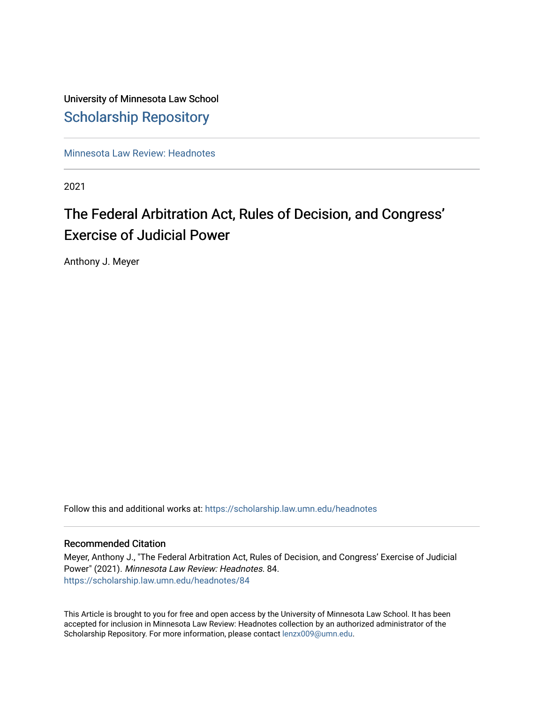# University of Minnesota Law School [Scholarship Repository](https://scholarship.law.umn.edu/)

[Minnesota Law Review: Headnotes](https://scholarship.law.umn.edu/headnotes) 

2021

# The Federal Arbitration Act, Rules of Decision, and Congress' Exercise of Judicial Power

Anthony J. Meyer

Follow this and additional works at: [https://scholarship.law.umn.edu/headnotes](https://scholarship.law.umn.edu/headnotes?utm_source=scholarship.law.umn.edu%2Fheadnotes%2F84&utm_medium=PDF&utm_campaign=PDFCoverPages) 

# Recommended Citation

Meyer, Anthony J., "The Federal Arbitration Act, Rules of Decision, and Congress' Exercise of Judicial Power" (2021). Minnesota Law Review: Headnotes. 84. [https://scholarship.law.umn.edu/headnotes/84](https://scholarship.law.umn.edu/headnotes/84?utm_source=scholarship.law.umn.edu%2Fheadnotes%2F84&utm_medium=PDF&utm_campaign=PDFCoverPages)

This Article is brought to you for free and open access by the University of Minnesota Law School. It has been accepted for inclusion in Minnesota Law Review: Headnotes collection by an authorized administrator of the Scholarship Repository. For more information, please contact [lenzx009@umn.edu.](mailto:lenzx009@umn.edu)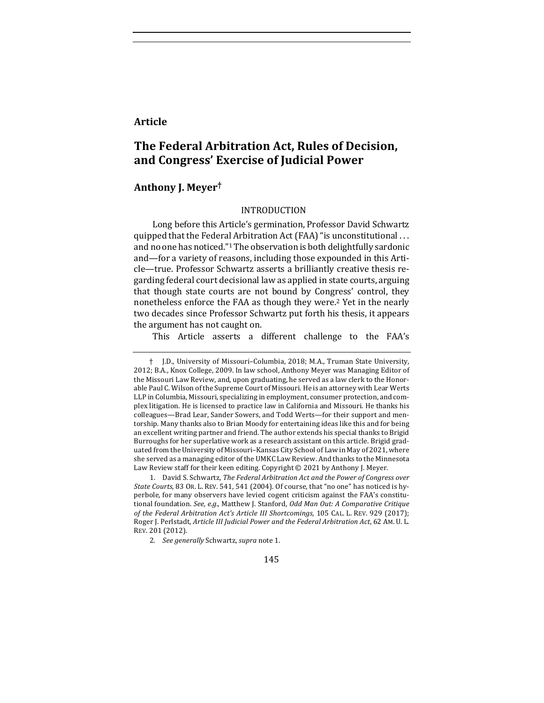# **Article**

# **The Federal Arbitration Act, Rules of Decision, and Congress' Exercise of Judicial Power**

# **Anthony J. Meyer†**

# INTRODUCTION

Long before this Article's germination, Professor David Schwartz quipped that the Federal Arbitration Act (FAA) "is unconstitutional ... and no one has noticed."<sup>1</sup> The observation is both delightfully sardonic and—for a variety of reasons, including those expounded in this Article—true. Professor Schwartz asserts a brilliantly creative thesis regarding federal court decisional law as applied in state courts, arguing that though state courts are not bound by Congress' control, they nonetheless enforce the FAA as though they were.<sup>2</sup> Yet in the nearly two decades since Professor Schwartz put forth his thesis, it appears the argument has not caught on.

This Article asserts a different challenge to the FAA's

<sup>†</sup> J.D., University of Missouri–Columbia, 2018; M.A., Truman State University, 2012; B.A., Knox College, 2009. In law school, Anthony Meyer was Managing Editor of the Missouri Law Review, and, upon graduating, he served as a law clerk to the Honorable Paul C. Wilson of the Supreme Court of Missouri. He is an attorney with Lear Werts LLP in Columbia, Missouri, specializing in employment, consumer protection, and complex litigation. He is licensed to practice law in California and Missouri. He thanks his colleagues—Brad Lear, Sander Sowers, and Todd Werts—for their support and mentorship. Many thanks also to Brian Moody for entertaining ideas like this and for being an excellent writing partner and friend. The author extends his special thanks to Brigid Burroughs for her superlative work as a research assistant on this article. Brigid graduated from the University of Missouri-Kansas City School of Law in May of 2021, where she served as a managing editor of the UMKC Law Review. And thanks to the Minnesota Law Review staff for their keen editing. Copyright © 2021 by Anthony J. Meyer.

<sup>1.</sup> David S. Schwartz, *The Federal Arbitration Act and the Power of Congress over State Courts*, 83 OR. L. REV. 541, 541 (2004). Of course, that "no one" has noticed is hyperbole, for many observers have levied cogent criticism against the FAA's constitutional foundation. See, e.g., Matthew J. Stanford, *Odd Man Out: A Comparative Critique* of the Federal Arbitration Act's Article III Shortcomings, 105 CAL. L. REV. 929 (2017); Roger J. Perlstadt, Article III Judicial Power and the Federal Arbitration Act, 62 AM. U. L. REV. 201 (2012).

<sup>2.</sup> *See generally* Schwartz, *supra* note 1.

<sup>145</sup>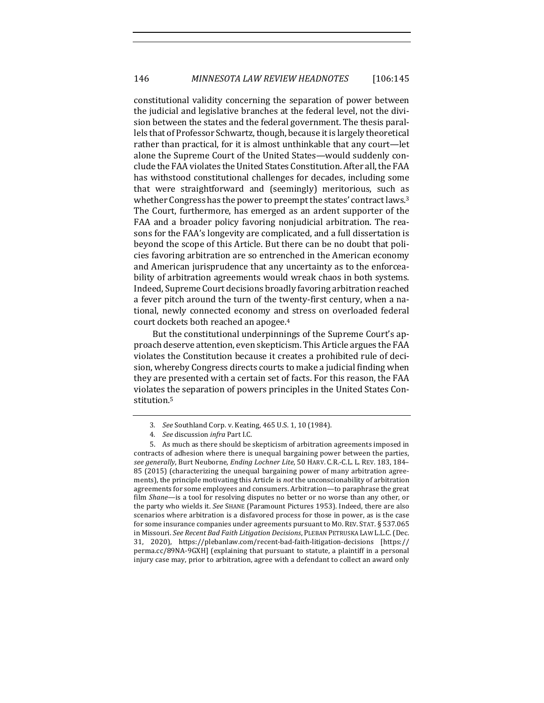constitutional validity concerning the separation of power between the judicial and legislative branches at the federal level, not the division between the states and the federal government. The thesis parallels that of Professor Schwartz, though, because it is largely theoretical rather than practical, for it is almost unthinkable that any court—let alone the Supreme Court of the United States—would suddenly conclude the FAA violates the United States Constitution. After all, the FAA has withstood constitutional challenges for decades, including some that were straightforward and (seemingly) meritorious, such as whether Congress has the power to preempt the states' contract laws.<sup>3</sup> The Court, furthermore, has emerged as an ardent supporter of the FAA and a broader policy favoring nonjudicial arbitration. The reasons for the FAA's longevity are complicated, and a full dissertation is beyond the scope of this Article. But there can be no doubt that policies favoring arbitration are so entrenched in the American economy and American jurisprudence that any uncertainty as to the enforceability of arbitration agreements would wreak chaos in both systems. Indeed, Supreme Court decisions broadly favoring arbitration reached a fever pitch around the turn of the twenty-first century, when a national, newly connected economy and stress on overloaded federal court dockets both reached an apogee.<sup>4</sup>

But the constitutional underpinnings of the Supreme Court's approach deserve attention, even skepticism. This Article argues the FAA violates the Constitution because it creates a prohibited rule of decision, whereby Congress directs courts to make a judicial finding when they are presented with a certain set of facts. For this reason, the FAA violates the separation of powers principles in the United States Constitution.5

<sup>3.</sup> See Southland Corp. v. Keating, 465 U.S. 1, 10 (1984).

<sup>4</sup>*. See* discussion *infra* Part I.C. 

<sup>5.</sup> As much as there should be skepticism of arbitration agreements imposed in contracts of adhesion where there is unequal bargaining power between the parties, see generally, Burt Neuborne, *Ending Lochner Lite*, 50 HARV. C.R.-C.L. L. REV. 183, 184-85 (2015) (characterizing the unequal bargaining power of many arbitration agreements), the principle motivating this Article is *not* the unconscionability of arbitration agreements for some employees and consumers. Arbitration—to paraphrase the great film *Shane*—is a tool for resolving disputes no better or no worse than any other, or the party who wields it. *See* SHANE (Paramount Pictures 1953). Indeed, there are also scenarios where arbitration is a disfavored process for those in power, as is the case for some insurance companies under agreements pursuant to Mo. REV. STAT. § 537.065 in Missouri. See Recent Bad Faith Litigation Decisions, PLEBAN PETRUSKA LAW L.L.C. (Dec. 31, 2020), https://plebanlaw.com/recent-bad-faith-litigation-decisions [https:// perma.cc/89NA-9GXH] (explaining that pursuant to statute, a plaintiff in a personal injury case may, prior to arbitration, agree with a defendant to collect an award only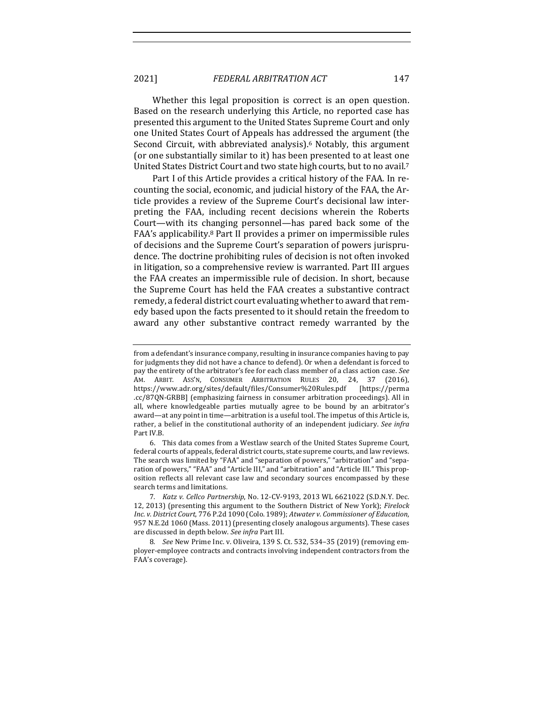Whether this legal proposition is correct is an open question. Based on the research underlying this Article, no reported case has presented this argument to the United States Supreme Court and only one United States Court of Appeals has addressed the argument (the Second Circuit, with abbreviated analysis).<sup>6</sup> Notably, this argument (or one substantially similar to it) has been presented to at least one United States District Court and two state high courts, but to no avail.<sup>7</sup>

Part I of this Article provides a critical history of the FAA. In recounting the social, economic, and judicial history of the FAA, the Article provides a review of the Supreme Court's decisional law interpreting the FAA, including recent decisions wherein the Roberts Court—with its changing personnel—has pared back some of the FAA's applicability.<sup>8</sup> Part II provides a primer on impermissible rules of decisions and the Supreme Court's separation of powers jurisprudence. The doctrine prohibiting rules of decision is not often invoked in litigation, so a comprehensive review is warranted. Part III argues the FAA creates an impermissible rule of decision. In short, because the Supreme Court has held the FAA creates a substantive contract remedy, a federal district court evaluating whether to award that remedy based upon the facts presented to it should retain the freedom to award any other substantive contract remedy warranted by the

6. This data comes from a Westlaw search of the United States Supreme Court, federal courts of appeals, federal district courts, state supreme courts, and law reviews. The search was limited by "FAA" and "separation of powers," "arbitration" and "separation of powers," "FAA" and "Article III," and "arbitration" and "Article III." This proposition reflects all relevant case law and secondary sources encompassed by these search terms and limitations.

7*. Katz v. Cellco Partnership*, No. 12-CV-9193, 2013 WL 6621022 (S.D.N.Y. Dec. 12, 2013) (presenting this argument to the Southern District of New York); *Firelock Inc. v. District Court*, 776 P.2d 1090 (Colo. 1989); *Atwater v. Commissioner of Education*, 957 N.E.2d 1060 (Mass. 2011) (presenting closely analogous arguments). These cases are discussed in depth below. See infra Part III.

8. *See* New Prime Inc. v. Oliveira, 139 S. Ct. 532, 534-35 (2019) (removing employer-employee contracts and contracts involving independent contractors from the FAA's coverage).

from a defendant's insurance company, resulting in insurance companies having to pay for judgments they did not have a chance to defend). Or when a defendant is forced to pay the entirety of the arbitrator's fee for each class member of a class action case. See AM. ARBIT. ASS'N, CONSUMER ARBITRATION RULES 20, 24, 37 (2016), https://www.adr.org/sites/default/files/Consumer%20Rules.pdf [https://perma .cc/87QN-GRBB] (emphasizing fairness in consumer arbitration proceedings). All in all, where knowledgeable parties mutually agree to be bound by an arbitrator's award—at any point in time—arbitration is a useful tool. The impetus of this Article is, rather, a belief in the constitutional authority of an independent judiciary. See infra Part IV.B.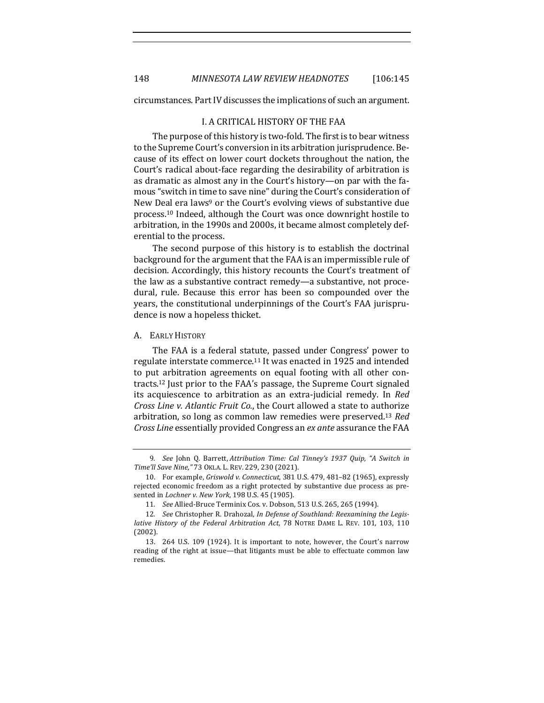circumstances. Part IV discusses the implications of such an argument.

#### I. A CRITICAL HISTORY OF THE FAA

The purpose of this history is two-fold. The first is to bear witness to the Supreme Court's conversion in its arbitration jurisprudence. Because of its effect on lower court dockets throughout the nation, the Court's radical about-face regarding the desirability of arbitration is as dramatic as almost any in the Court's history—on par with the famous "switch in time to save nine" during the Court's consideration of New Deal era laws<sup>9</sup> or the Court's evolving views of substantive due process.<sup>10</sup> Indeed, although the Court was once downright hostile to arbitration, in the 1990s and 2000s, it became almost completely deferential to the process.

The second purpose of this history is to establish the doctrinal background for the argument that the FAA is an impermissible rule of decision. Accordingly, this history recounts the Court's treatment of the law as a substantive contract remedy—a substantive, not procedural, rule. Because this error has been so compounded over the years, the constitutional underpinnings of the Court's FAA jurisprudence is now a hopeless thicket.

A. EARLY HISTORY

The FAA is a federal statute, passed under Congress' power to regulate interstate commerce.<sup>11</sup> It was enacted in 1925 and intended to put arbitration agreements on equal footing with all other contracts.<sup>12</sup> Just prior to the FAA's passage, the Supreme Court signaled its acquiescence to arbitration as an extra-judicial remedy. In *Red Cross Line v. Atlantic Fruit Co.*, the Court allowed a state to authorize arbitration, so long as common law remedies were preserved.<sup>13</sup> *Red Cross Line* essentially provided Congress an *ex ante* assurance the FAA

<sup>9</sup>*. See*  John Q. Barrett, *Attribution Time: Cal Tinney's 1937 Quip, "A Switch in Time'll Save Nine*,*"* 73 OKLA. L. REV. 229, 230 (2021). 

<sup>10.</sup> For example, *Griswold v. Connecticut*, 381 U.S. 479, 481-82 (1965), expressly rejected economic freedom as a right protected by substantive due process as presented in *Lochner v. New York*, 198 U.S. 45 (1905).

<sup>11</sup>*. See* Allied-Bruce Terminix Cos. v. Dobson, 513 U.S. 265, 265 (1994).

<sup>12.</sup> See Christopher R. Drahozal, *In Defense of Southland: Reexamining the Legislative History of the Federal Arbitration Act*, 78 NOTRE DAME L. REV. 101, 103, 110 (2002).

<sup>13. 264</sup> U.S. 109 (1924). It is important to note, however, the Court's narrow reading of the right at issue-that litigants must be able to effectuate common law remedies.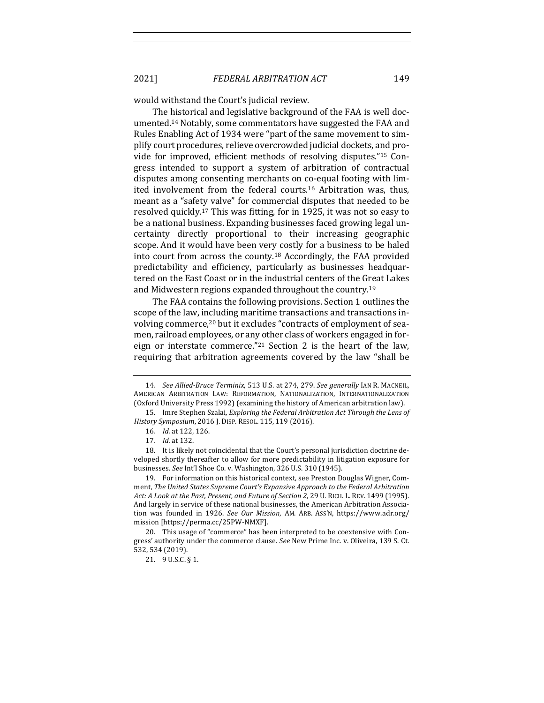would withstand the Court's judicial review.

The historical and legislative background of the FAA is well documented.<sup>14</sup> Notably, some commentators have suggested the FAA and Rules Enabling Act of 1934 were "part of the same movement to simplify court procedures, relieve overcrowded judicial dockets, and provide for improved, efficient methods of resolving disputes."<sup>15</sup> Congress intended to support a system of arbitration of contractual disputes among consenting merchants on co-equal footing with limited involvement from the federal courts.<sup>16</sup> Arbitration was, thus, meant as a "safety valve" for commercial disputes that needed to be resolved quickly.<sup>17</sup> This was fitting, for in 1925, it was not so easy to be a national business. Expanding businesses faced growing legal uncertainty directly proportional to their increasing geographic scope. And it would have been very costly for a business to be haled into court from across the county.<sup>18</sup> Accordingly, the FAA provided predictability and efficiency, particularly as businesses headquartered on the East Coast or in the industrial centers of the Great Lakes and Midwestern regions expanded throughout the country.<sup>19</sup>

The FAA contains the following provisions. Section 1 outlines the scope of the law, including maritime transactions and transactions involving commerce,<sup>20</sup> but it excludes "contracts of employment of seamen, railroad employees, or any other class of workers engaged in foreign or interstate commerce."<sup>21</sup> Section 2 is the heart of the law, requiring that arbitration agreements covered by the law "shall be

<sup>14</sup>*. See Allied-Bruce Terminix*, 513 U.S. at 274, 279. *See generally* IAN R. MACNEIL, AMERICAN ARBITRATION LAW: REFORMATION, NATIONALIZATION, INTERNATIONALIZATION (Oxford University Press 1992) (examining the history of American arbitration law).

<sup>15.</sup> Imre Stephen Szalai, *Exploring the Federal Arbitration Act Through the Lens of History Symposium, 2016 J. DISP. RESOL. 115, 119 (2016).* 

<sup>16.</sup> *Id.* at 122, 126.

<sup>17</sup>*. Id.* at 132.

<sup>18.</sup> It is likely not coincidental that the Court's personal jurisdiction doctrine developed shortly thereafter to allow for more predictability in litigation exposure for businesses. See Int'l Shoe Co. v. Washington, 326 U.S. 310 (1945).

<sup>19.</sup> For information on this historical context, see Preston Douglas Wigner, Comment, The United States Supreme Court's Expansive Approach to the Federal Arbitration Act: A Look at the Past, Present, and Future of Section 2, 29 U. RICH. L. REV. 1499 (1995). And largely in service of these national businesses, the American Arbitration Association was founded in 1926. See Our Mission, AM. ARB. Ass'N, https://www.adr.org/ mission [https://perma.cc/25PW-NMXF].

<sup>20.</sup> This usage of "commerce" has been interpreted to be coextensive with Congress' authority under the commerce clause. See New Prime Inc. v. Oliveira, 139 S. Ct. 532, 534 (2019).

<sup>21.</sup>  $9 \text{ U.S.C.}$  § 1.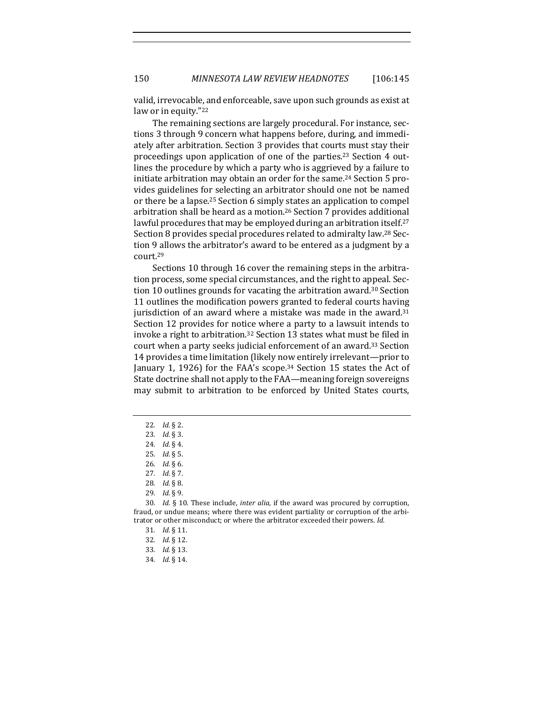150 *MINNESOTA LAW REVIEW HEADNOTES* [106:145

valid, irrevocable, and enforceable, save upon such grounds as exist at law or in equity."<sup>22</sup>

The remaining sections are largely procedural. For instance, sections 3 through 9 concern what happens before, during, and immediately after arbitration. Section 3 provides that courts must stay their proceedings upon application of one of the parties.<sup>23</sup> Section 4 outlines the procedure by which a party who is aggrieved by a failure to initiate arbitration may obtain an order for the same.<sup>24</sup> Section 5 provides guidelines for selecting an arbitrator should one not be named or there be a lapse.<sup>25</sup> Section 6 simply states an application to compel arbitration shall be heard as a motion.<sup>26</sup> Section 7 provides additional lawful procedures that may be employed during an arbitration itself.<sup>27</sup> Section 8 provides special procedures related to admiralty law.<sup>28</sup> Section 9 allows the arbitrator's award to be entered as a judgment by a court.29

Sections 10 through 16 cover the remaining steps in the arbitration process, some special circumstances, and the right to appeal. Section 10 outlines grounds for vacating the arbitration award.<sup>30</sup> Section 11 outlines the modification powers granted to federal courts having jurisdiction of an award where a mistake was made in the award. $31$ Section 12 provides for notice where a party to a lawsuit intends to invoke a right to arbitration.<sup>32</sup> Section 13 states what must be filed in court when a party seeks judicial enforcement of an award.<sup>33</sup> Section 14 provides a time limitation (likely now entirely irrelevant—prior to January 1, 1926) for the FAA's scope.<sup>34</sup> Section 15 states the Act of State doctrine shall not apply to the FAA—meaning foreign sovereigns may submit to arbitration to be enforced by United States courts,

30. *Id.* § 10. These include, *inter alia*, if the award was procured by corruption, fraud, or undue means; where there was evident partiality or corruption of the arbitrator or other misconduct; or where the arbitrator exceeded their powers. *Id.* 

<sup>22</sup>*. Id.* § 2.

<sup>23</sup>*. Id.* § 3.

<sup>24.</sup> *Id.* § 4.

<sup>25</sup>*. Id.* § 5.

<sup>26</sup>*. Id.* § 6.

<sup>27</sup>*. Id.* § 7. 

<sup>28</sup>*. Id.* § 8.

<sup>29</sup>*. Id.* § 9.

<sup>31</sup>*. Id.* § 11. 

<sup>32</sup>*. Id.* § 12.

<sup>33</sup>*. Id.* § 13.

<sup>34</sup>*. Id.* § 14.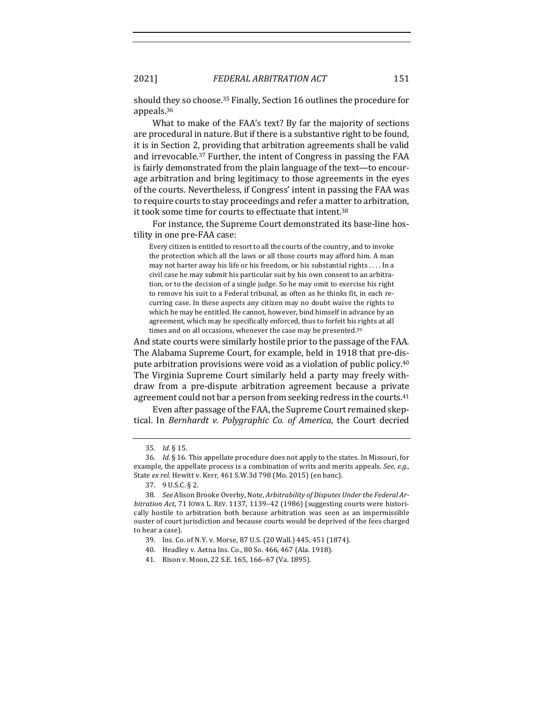2021] *FEDERAL ARBITRATION ACT* 151

should they so choose.<sup>35</sup> Finally, Section 16 outlines the procedure for appeals.36

What to make of the FAA's text? By far the majority of sections are procedural in nature. But if there is a substantive right to be found, it is in Section 2, providing that arbitration agreements shall be valid and irrevocable.<sup>37</sup> Further, the intent of Congress in passing the FAA is fairly demonstrated from the plain language of the text—to encourage arbitration and bring legitimacy to those agreements in the eyes of the courts. Nevertheless, if Congress' intent in passing the FAA was to require courts to stay proceedings and refer a matter to arbitration, it took some time for courts to effectuate that intent.<sup>38</sup>

For instance, the Supreme Court demonstrated its base-line hostility in one pre-FAA case:

Every citizen is entitled to resort to all the courts of the country, and to invoke the protection which all the laws or all those courts may afford him. A man may not barter away his life or his freedom, or his substantial rights . . . . In a civil case he may submit his particular suit by his own consent to an arbitration, or to the decision of a single judge. So he may omit to exercise his right to remove his suit to a Federal tribunal, as often as he thinks fit, in each recurring case. In these aspects any citizen may no doubt waive the rights to which he may be entitled. He cannot, however, bind himself in advance by an agreement, which may be specifically enforced, thus to forfeit his rights at all times and on all occasions, whenever the case may be presented.<sup>39</sup>

And state courts were similarly hostile prior to the passage of the FAA. The Alabama Supreme Court, for example, held in 1918 that pre-dispute arbitration provisions were void as a violation of public policy.<sup>40</sup> The Virginia Supreme Court similarly held a party may freely withdraw from a pre-dispute arbitration agreement because a private agreement could not bar a person from seeking redress in the courts.<sup>41</sup>

Even after passage of the FAA, the Supreme Court remained skeptical. In *Bernhardt v. Polygraphic Co. of America*, the Court decried

<sup>35</sup>*. Id.* § 15.

<sup>36.</sup> *Id.* § 16. This appellate procedure does not apply to the states. In Missouri, for example, the appellate process is a combination of writs and merits appeals. *See, e.g.*, State ex rel. Hewitt v. Kerr, 461 S.W.3d 798 (Mo. 2015) (en banc).

<sup>37. 9</sup> U.S.C. § 2.

<sup>38.</sup> See Alison Brooke Overby, Note, Arbitrability of Disputes Under the Federal Arbitration Act, 71 Iowa L. REV. 1137, 1139-42 (1986) (suggesting courts were historically hostile to arbitration both because arbitration was seen as an impermissible ouster of court jurisdiction and because courts would be deprived of the fees charged to hear a case).

<sup>39.</sup> Ins. Co. of N.Y. v. Morse, 87 U.S. (20 Wall.) 445, 451 (1874).

<sup>40.</sup> Headley v. Aetna Ins. Co., 80 So. 466, 467 (Ala. 1918).

<sup>41.</sup> Rison v. Moon, 22 S.E. 165, 166-67 (Va. 1895).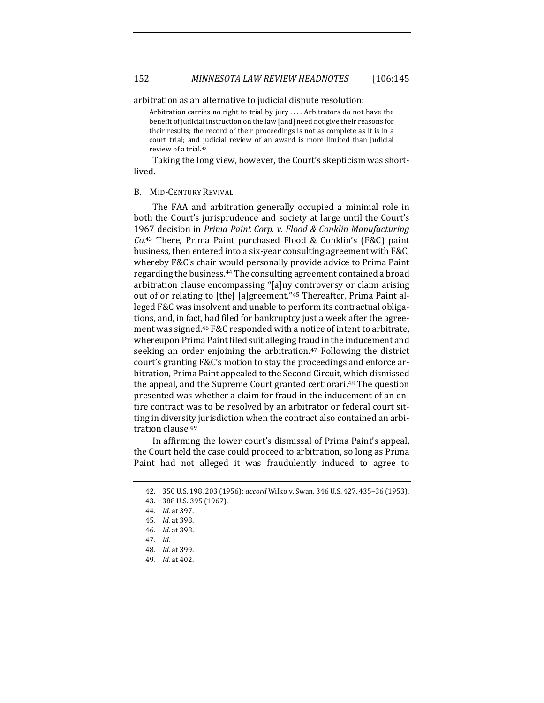arbitration as an alternative to judicial dispute resolution:

Arbitration carries no right to trial by jury .... Arbitrators do not have the benefit of judicial instruction on the law [and] need not give their reasons for their results; the record of their proceedings is not as complete as it is in a court trial; and judicial review of an award is more limited than judicial review of a trial.<sup>42</sup>

Taking the long view, however, the Court's skepticism was shortlived.

#### B. MID-CENTURY REVIVAL

The FAA and arbitration generally occupied a minimal role in both the Court's jurisprudence and society at large until the Court's 1967 decision in Prima Paint Corp. v. Flood & Conklin Manufacturing *Co.*<sup>43</sup> There, Prima Paint purchased Flood & Conklin's (F&C) paint business, then entered into a six-year consulting agreement with F&C, whereby F&C's chair would personally provide advice to Prima Paint regarding the business.<sup>44</sup> The consulting agreement contained a broad arbitration clause encompassing "[a]ny controversy or claim arising out of or relating to [the] [a]greement."<sup>45</sup> Thereafter, Prima Paint alleged F&C was insolvent and unable to perform its contractual obligations, and, in fact, had filed for bankruptcy just a week after the agreement was signed.<sup>46</sup> F&C responded with a notice of intent to arbitrate, whereupon Prima Paint filed suit alleging fraud in the inducement and seeking an order enjoining the arbitration.<sup>47</sup> Following the district court's granting F&C's motion to stay the proceedings and enforce arbitration, Prima Paint appealed to the Second Circuit, which dismissed the appeal, and the Supreme Court granted certiorari.<sup>48</sup> The question presented was whether a claim for fraud in the inducement of an entire contract was to be resolved by an arbitrator or federal court sitting in diversity jurisdiction when the contract also contained an arbitration clause.<sup>49</sup>

In affirming the lower court's dismissal of Prima Paint's appeal, the Court held the case could proceed to arbitration, so long as Prima Paint had not alleged it was fraudulently induced to agree to

<sup>42. 350</sup> U.S. 198, 203 (1956); *accord* Wilko v. Swan, 346 U.S. 427, 435-36 (1953).

<sup>43.</sup> 388 U.S. 395 (1967).

<sup>44</sup>*. Id.* at 397.

<sup>45</sup>*. Id.* at 398.

<sup>46</sup>*. Id.* at 398.

<sup>47</sup>*. Id.*

<sup>48</sup>*. Id.* at 399.

<sup>49</sup>*. Id.* at 402.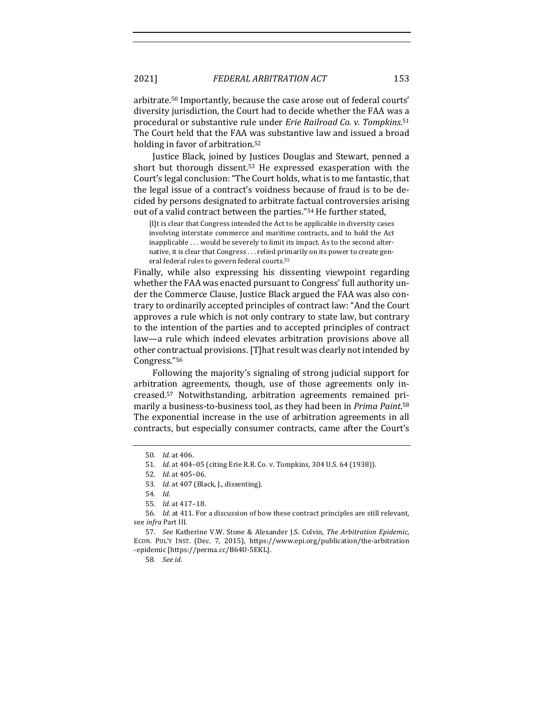arbitrate.<sup>50</sup> Importantly, because the case arose out of federal courts' diversity jurisdiction, the Court had to decide whether the FAA was a procedural or substantive rule under *Erie Railroad Co. v. Tompkins*.<sup>51</sup> The Court held that the FAA was substantive law and issued a broad holding in favor of arbitration. $52$ 

Justice Black, joined by Justices Douglas and Stewart, penned a short but thorough dissent.<sup>53</sup> He expressed exasperation with the Court's legal conclusion: "The Court holds, what is to me fantastic, that the legal issue of a contract's voidness because of fraud is to be decided by persons designated to arbitrate factual controversies arising out of a valid contract between the parties."<sup>54</sup> He further stated,

[I]t is clear that Congress intended the Act to be applicable in diversity cases involving interstate commerce and maritime contracts, and to hold the Act inapplicable ... would be severely to limit its impact. As to the second alternative, it is clear that Congress . . . relied primarily on its power to create general federal rules to govern federal courts.<sup>55</sup>

Finally, while also expressing his dissenting viewpoint regarding whether the FAA was enacted pursuant to Congress' full authority under the Commerce Clause, Justice Black argued the FAA was also contrary to ordinarily accepted principles of contract law: "And the Court approves a rule which is not only contrary to state law, but contrary to the intention of the parties and to accepted principles of contract law—a rule which indeed elevates arbitration provisions above all other contractual provisions. [T] hat result was clearly not intended by Congress."56

Following the majority's signaling of strong judicial support for arbitration agreements, though, use of those agreements only increased.<sup>57</sup> Notwithstanding, arbitration agreements remained primarily a business-to-business tool, as they had been in *Prima Paint*.<sup>58</sup> The exponential increase in the use of arbitration agreements in all contracts, but especially consumer contracts, came after the Court's

<sup>50</sup>*. Id.* at 406.

<sup>51.</sup> *Id.* at 404-05 (citing Erie R.R. Co. v. Tompkins, 304 U.S. 64 (1938)).

<sup>52</sup>*. Id.* at 405–06.

<sup>53.</sup> *Id.* at 407 (Black, J., dissenting).

<sup>54</sup>*. Id.*

<sup>55</sup>*. Id.* at 417–18.

<sup>56.</sup> *Id.* at 411. For a discussion of how these contract principles are still relevant, see *infra* Part III.

<sup>57</sup>*. See* Katherine V.W. Stone & Alexander J.S. Colvin, *The Arbitration Epidemic*, ECON. POL'Y INST. (Dec. 7, 2015), https://www.epi.org/publication/the-arbitration -epidemic [https://perma.cc/B64U-5EKL].

<sup>58</sup>*. See id.*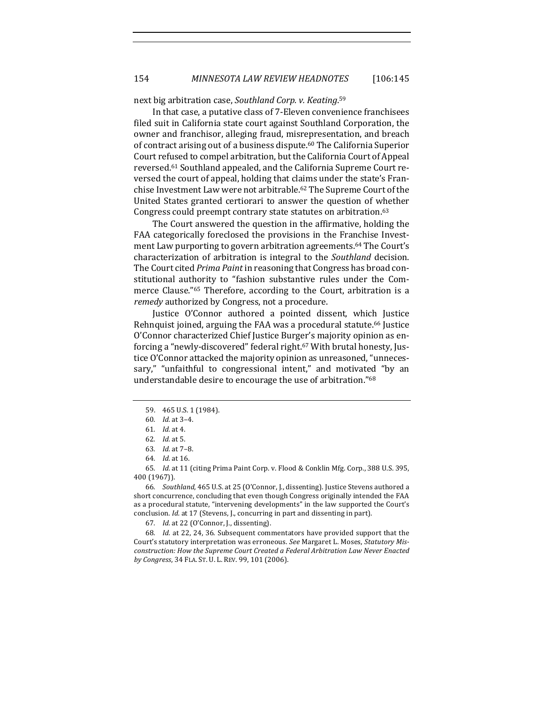next big arbitration case, Southland Corp. v. Keating.<sup>59</sup>

In that case, a putative class of 7-Eleven convenience franchisees filed suit in California state court against Southland Corporation, the owner and franchisor, alleging fraud, misrepresentation, and breach of contract arising out of a business dispute.<sup>60</sup> The California Superior Court refused to compel arbitration, but the California Court of Appeal reversed.<sup>61</sup> Southland appealed, and the California Supreme Court reversed the court of appeal, holding that claims under the state's Franchise Investment Law were not arbitrable.<sup>62</sup> The Supreme Court of the United States granted certiorari to answer the question of whether Congress could preempt contrary state statutes on arbitration.<sup>63</sup>

The Court answered the question in the affirmative, holding the FAA categorically foreclosed the provisions in the Franchise Investment Law purporting to govern arbitration agreements.<sup>64</sup> The Court's characterization of arbitration is integral to the *Southland* decision. The Court cited *Prima Paint* in reasoning that Congress has broad constitutional authority to "fashion substantive rules under the Commerce Clause."<sup>65</sup> Therefore, according to the Court, arbitration is a *remedy* authorized by Congress, not a procedure.

Justice O'Connor authored a pointed dissent, which Justice Rehnquist joined, arguing the FAA was a procedural statute.<sup>66</sup> Justice O'Connor characterized Chief Justice Burger's majority opinion as enforcing a "newly-discovered" federal right.<sup>67</sup> With brutal honesty, Justice O'Connor attacked the majority opinion as unreasoned, "unnecessary," "unfaithful to congressional intent," and motivated "by an understandable desire to encourage the use of arbitration."<sup>68</sup>

65. *Id.* at 11 (citing Prima Paint Corp. v. Flood & Conklin Mfg. Corp., 388 U.S. 395, 400 (1967)).

66. *Southland*, 465 U.S. at 25 (O'Connor, J., dissenting). Justice Stevens authored a short concurrence, concluding that even though Congress originally intended the FAA as a procedural statute, "intervening developments" in the law supported the Court's conclusion. *Id.* at 17 (Stevens, J., concurring in part and dissenting in part).

67. *Id.* at 22 (O'Connor, J., dissenting).

68. *Id.* at 22, 24, 36. Subsequent commentators have provided support that the Court's statutory interpretation was erroneous. See Margaret L. Moses, Statutory Misconstruction: How the Supreme Court Created a Federal Arbitration Law Never Enacted *by Congress*, 34 FLA. ST. U. L. REV. 99, 101 (2006).

<sup>59. 465</sup> U.S. 1 (1984).

<sup>60</sup>*. Id.* at 3–4.

<sup>61</sup>*. Id.* at 4.

<sup>62</sup>*. Id.* at 5.

<sup>63</sup>*. Id.* at 7–8.

<sup>64</sup>*. Id.* at 16.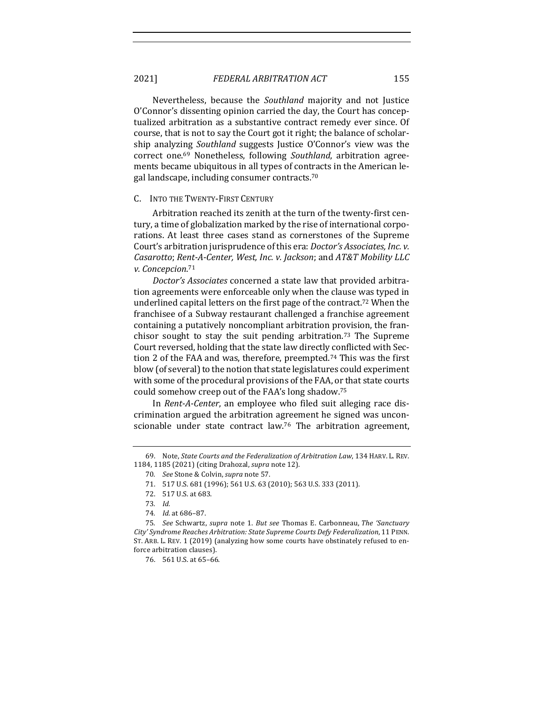Nevertheless, because the *Southland* majority and not Justice O'Connor's dissenting opinion carried the day, the Court has conceptualized arbitration as a substantive contract remedy ever since. Of course, that is not to say the Court got it right; the balance of scholarship analyzing *Southland* suggests Justice O'Connor's view was the correct one.<sup>69</sup> Nonetheless, following *Southland*, arbitration agreements became ubiquitous in all types of contracts in the American legal landscape, including consumer contracts.<sup>70</sup>

#### C. INTO THE TWENTY-FIRST CENTURY

Arbitration reached its zenith at the turn of the twenty-first century, a time of globalization marked by the rise of international corporations. At least three cases stand as cornerstones of the Supreme Court's arbitration jurisprudence of this era: *Doctor's Associates, Inc. v. Casarotto*; Rent-A-Center, West, Inc. v. Jackson; and AT&T Mobility LLC *v. Concepcion*. 71

*Doctor's Associates* concerned a state law that provided arbitration agreements were enforceable only when the clause was typed in underlined capital letters on the first page of the contract.<sup>72</sup> When the franchisee of a Subway restaurant challenged a franchise agreement containing a putatively noncompliant arbitration provision, the franchisor sought to stay the suit pending arbitration.<sup>73</sup> The Supreme Court reversed, holding that the state law directly conflicted with Section 2 of the FAA and was, therefore, preempted.<sup>74</sup> This was the first blow (of several) to the notion that state legislatures could experiment with some of the procedural provisions of the FAA, or that state courts could somehow creep out of the FAA's long shadow.<sup>75</sup>

In *Rent-A-Center*, an employee who filed suit alleging race discrimination argued the arbitration agreement he signed was unconscionable under state contract law.<sup>76</sup> The arbitration agreement,

<sup>69.</sup> Note, *State Courts and the Federalization of Arbitration Law*, 134 HARV. L. REV. 1184, 1185 (2021) (citing Drahozal, *supra* note 12).

<sup>70.</sup> *See* Stone & Colvin, *supra* note 57.

<sup>71. 517</sup> U.S. 681 (1996); 561 U.S. 63 (2010); 563 U.S. 333 (2011).

<sup>72. 517</sup> U.S. at 683.

<sup>73</sup>*. Id.* 

<sup>74</sup>*. Id.* at 686–87.

<sup>75</sup>*. See*  Schwartz, *supra* note 1. *But see* Thomas E. Carbonneau, *The 'Sanctuary City' Syndrome Reaches Arbitration: State Supreme Courts Defy Federalization*, 11 PENN. ST. ARB. L. REV. 1 (2019) (analyzing how some courts have obstinately refused to enforce arbitration clauses).

<sup>76. 561</sup> U.S. at 65-66.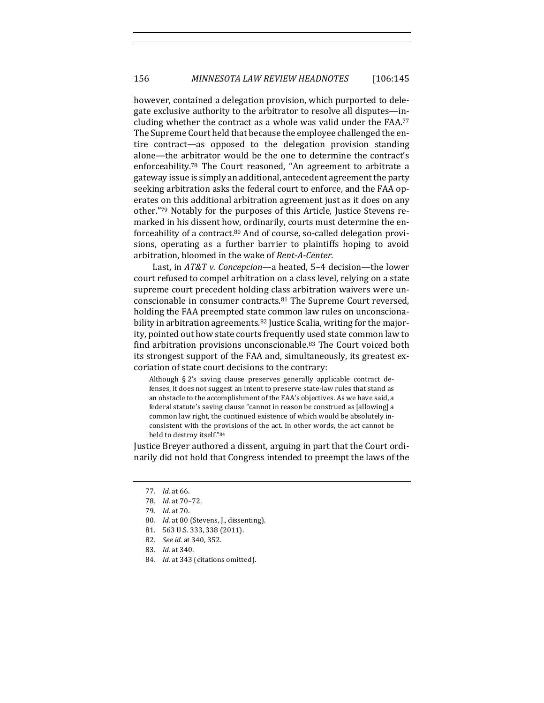however, contained a delegation provision, which purported to delegate exclusive authority to the arbitrator to resolve all disputes—including whether the contract as a whole was valid under the FAA. $77$ The Supreme Court held that because the employee challenged the entire contract—as opposed to the delegation provision standing alone—the arbitrator would be the one to determine the contract's enforceability.<sup>78</sup> The Court reasoned, "An agreement to arbitrate a gateway issue is simply an additional, antecedent agreement the party seeking arbitration asks the federal court to enforce, and the FAA operates on this additional arbitration agreement just as it does on any other."<sup>79</sup> Notably for the purposes of this Article, Justice Stevens remarked in his dissent how, ordinarily, courts must determine the enforceability of a contract.<sup>80</sup> And of course, so-called delegation provisions, operating as a further barrier to plaintiffs hoping to avoid arbitration, bloomed in the wake of *Rent-A-Center*.

Last, in *AT&T* v. *Concepcion*—a heated, 5–4 decision—the lower court refused to compel arbitration on a class level, relying on a state supreme court precedent holding class arbitration waivers were unconscionable in consumer contracts. $81$  The Supreme Court reversed, holding the FAA preempted state common law rules on unconscionability in arbitration agreements.<sup>82</sup> Justice Scalia, writing for the majority, pointed out how state courts frequently used state common law to find arbitration provisions unconscionable.<sup>83</sup> The Court voiced both its strongest support of the FAA and, simultaneously, its greatest excoriation of state court decisions to the contrary:

Although  $\S 2$ 's saving clause preserves generally applicable contract defenses, it does not suggest an intent to preserve state-law rules that stand as an obstacle to the accomplishment of the FAA's objectives. As we have said, a federal statute's saving clause "cannot in reason be construed as [allowing] a common law right, the continued existence of which would be absolutely inconsistent with the provisions of the act. In other words, the act cannot be held to destroy itself."84

Justice Breyer authored a dissent, arguing in part that the Court ordinarily did not hold that Congress intended to preempt the laws of the

- 80. *Id.* at 80 (Stevens, J., dissenting).
- 81. 563 U.S. 333, 338 (2011).
- 82*. See id.* at 340, 352.
- 83*. Id.* at 340.
- 84. *Id.* at 343 (citations omitted).

<sup>77</sup>*. Id.* at 66.

<sup>78</sup>*. Id.* at 70–72.

<sup>79</sup>*. Id.* at 70.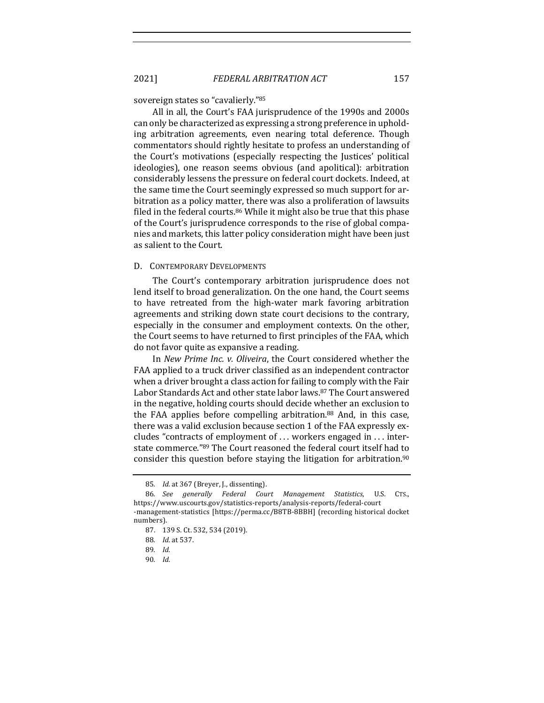sovereign states so "cavalierly."85

All in all, the Court's FAA jurisprudence of the 1990s and 2000s can only be characterized as expressing a strong preference in upholding arbitration agreements, even nearing total deference. Though commentators should rightly hesitate to profess an understanding of the Court's motivations (especially respecting the Justices' political ideologies), one reason seems obvious (and apolitical): arbitration considerably lessens the pressure on federal court dockets. Indeed, at the same time the Court seemingly expressed so much support for arbitration as a policy matter, there was also a proliferation of lawsuits filed in the federal courts. $86$  While it might also be true that this phase of the Court's jurisprudence corresponds to the rise of global companies and markets, this latter policy consideration might have been just as salient to the Court.

#### D. CONTEMPORARY DEVELOPMENTS

The Court's contemporary arbitration jurisprudence does not lend itself to broad generalization. On the one hand, the Court seems to have retreated from the high-water mark favoring arbitration agreements and striking down state court decisions to the contrary, especially in the consumer and employment contexts. On the other, the Court seems to have returned to first principles of the FAA, which do not favor quite as expansive a reading.

In *New Prime Inc. v. Oliveira*, the Court considered whether the FAA applied to a truck driver classified as an independent contractor when a driver brought a class action for failing to comply with the Fair Labor Standards Act and other state labor laws.<sup>87</sup> The Court answered in the negative, holding courts should decide whether an exclusion to the FAA applies before compelling arbitration. $88$  And, in this case, there was a valid exclusion because section 1 of the FAA expressly excludes "contracts of employment of  $\dots$  workers engaged in  $\dots$  interstate commerce."89 The Court reasoned the federal court itself had to consider this question before staying the litigation for arbitration.<sup>90</sup>

<sup>85.</sup> *Id.* at 367 (Breyer, J., dissenting).

<sup>86</sup>*. See generally Federal Court Management Statistics*, U.S. CTS., https://www.uscourts.gov/statistics-reports/analysis-reports/federal-court -management-statistics [https://perma.cc/B8TB-8BBH] (recording historical docket

numbers).

<sup>87. 139</sup> S. Ct. 532, 534 (2019).

<sup>88</sup>*. Id.* at 537.

<sup>89</sup>*. Id.*

<sup>90</sup>*. Id.*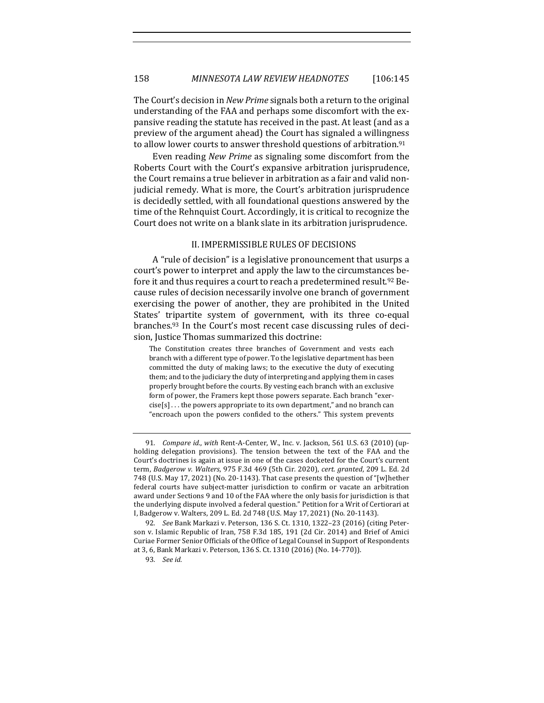The Court's decision in *New Prime* signals both a return to the original understanding of the FAA and perhaps some discomfort with the expansive reading the statute has received in the past. At least (and as a preview of the argument ahead) the Court has signaled a willingness to allow lower courts to answer threshold questions of arbitration.<sup>91</sup>

Even reading *New Prime* as signaling some discomfort from the Roberts Court with the Court's expansive arbitration jurisprudence, the Court remains a true believer in arbitration as a fair and valid nonjudicial remedy. What is more, the Court's arbitration jurisprudence is decidedly settled, with all foundational questions answered by the time of the Rehnquist Court. Accordingly, it is critical to recognize the Court does not write on a blank slate in its arbitration jurisprudence.

# II. IMPERMISSIBLE RULES OF DECISIONS

A "rule of decision" is a legislative pronouncement that usurps a court's power to interpret and apply the law to the circumstances before it and thus requires a court to reach a predetermined result.<sup>92</sup> Because rules of decision necessarily involve one branch of government exercising the power of another, they are prohibited in the United States' tripartite system of government, with its three co-equal branches.<sup>93</sup> In the Court's most recent case discussing rules of decision, Justice Thomas summarized this doctrine:

The Constitution creates three branches of Government and vests each branch with a different type of power. To the legislative department has been committed the duty of making laws; to the executive the duty of executing them; and to the judiciary the duty of interpreting and applying them in cases properly brought before the courts. By vesting each branch with an exclusive form of power, the Framers kept those powers separate. Each branch "exer- $\text{cise[s]} \dots$  the powers appropriate to its own department," and no branch can "encroach upon the powers confided to the others." This system prevents

<sup>91.</sup> *Compare id., with* Rent-A-Center, W., Inc. v. Jackson, 561 U.S. 63 (2010) (upholding delegation provisions). The tension between the text of the FAA and the Court's doctrines is again at issue in one of the cases docketed for the Court's current term, Badgerow v. Walters, 975 F.3d 469 (5th Cir. 2020), cert. granted, 209 L. Ed. 2d 748 (U.S. May 17, 2021) (No. 20-1143). That case presents the question of "[w]hether federal courts have subject-matter jurisdiction to confirm or vacate an arbitration award under Sections 9 and 10 of the FAA where the only basis for jurisdiction is that the underlying dispute involved a federal question." Petition for a Writ of Certiorari at I, Badgerow v. Walters, 209 L. Ed. 2d 748 (U.S. May 17, 2021) (No. 20-1143).

<sup>92.</sup> *See* Bank Markazi v. Peterson, 136 S. Ct. 1310, 1322-23 (2016) (citing Peterson v. Islamic Republic of Iran, 758 F.3d 185, 191 (2d Cir. 2014) and Brief of Amici Curiae Former Senior Officials of the Office of Legal Counsel in Support of Respondents at 3, 6, Bank Markazi v. Peterson, 136 S. Ct. 1310 (2016) (No. 14-770)).

<sup>93</sup>*. See id.*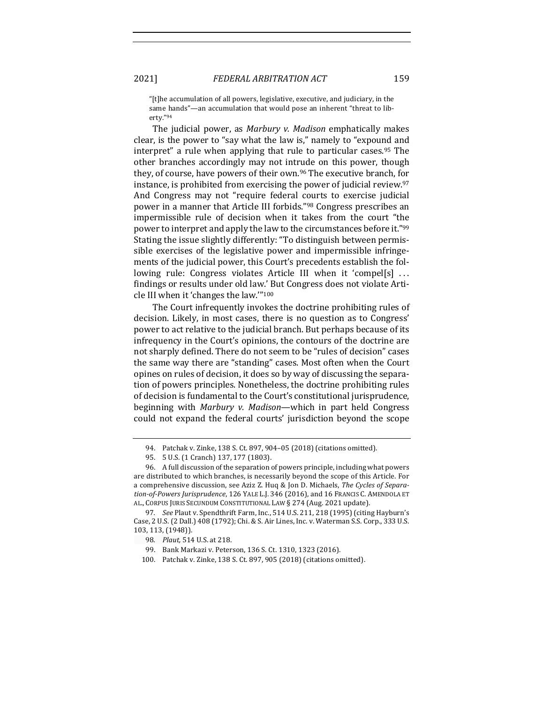"[t]he accumulation of all powers, legislative, executive, and judiciary, in the same hands"—an accumulation that would pose an inherent "threat to liberty."94

The judicial power, as *Marbury v. Madison* emphatically makes clear, is the power to "say what the law is," namely to "expound and interpret" a rule when applying that rule to particular cases.<sup>95</sup> The other branches accordingly may not intrude on this power, though they, of course, have powers of their own.<sup>96</sup> The executive branch, for instance, is prohibited from exercising the power of judicial review. $97$ And Congress may not "require federal courts to exercise judicial power in a manner that Article III forbids."<sup>98</sup> Congress prescribes an impermissible rule of decision when it takes from the court "the power to interpret and apply the law to the circumstances before it."99 Stating the issue slightly differently: "To distinguish between permissible exercises of the legislative power and impermissible infringements of the judicial power, this Court's precedents establish the following rule: Congress violates Article III when it 'compel[s]  $\dots$ findings or results under old law.' But Congress does not violate Article III when it 'changes the law."<sup>100</sup>

The Court infrequently invokes the doctrine prohibiting rules of decision. Likely, in most cases, there is no question as to Congress' power to act relative to the judicial branch. But perhaps because of its infrequency in the Court's opinions, the contours of the doctrine are not sharply defined. There do not seem to be "rules of decision" cases the same way there are "standing" cases. Most often when the Court opines on rules of decision, it does so by way of discussing the separation of powers principles. Nonetheless, the doctrine prohibiting rules of decision is fundamental to the Court's constitutional jurisprudence, beginning with *Marbury v. Madison*—which in part held Congress could not expand the federal courts' jurisdiction beyond the scope

100. Patchak v. Zinke, 138 S. Ct. 897, 905 (2018) (citations omitted).

<sup>94.</sup> Patchak v. Zinke, 138 S. Ct. 897, 904-05 (2018) (citations omitted).

<sup>95. 5</sup> U.S. (1 Cranch) 137, 177 (1803).

<sup>96.</sup> A full discussion of the separation of powers principle, including what powers are distributed to which branches, is necessarily beyond the scope of this Article. For a comprehensive discussion, see Aziz Z. Huq & Jon D. Michaels, *The Cycles of Separa*tion-of-Powers Jurisprudence, 126 YALE L.J. 346 (2016), and 16 FRANCIS C. AMENDOLA ET AL., CORPUS JURIS SECUNDUM CONSTITUTIONAL LAW § 274 (Aug. 2021 update).

<sup>97.</sup> *See* Plaut v. Spendthrift Farm, Inc., 514 U.S. 211, 218 (1995) (citing Hayburn's Case, 2 U.S. (2 Dall.) 408 (1792); Chi. & S. Air Lines, Inc. v. Waterman S.S. Corp., 333 U.S. 103, 113, (1948)).

<sup>98</sup>*. Plaut,* 514 U.S. at 218.

<sup>99.</sup> Bank Markazi v. Peterson, 136 S. Ct. 1310, 1323 (2016).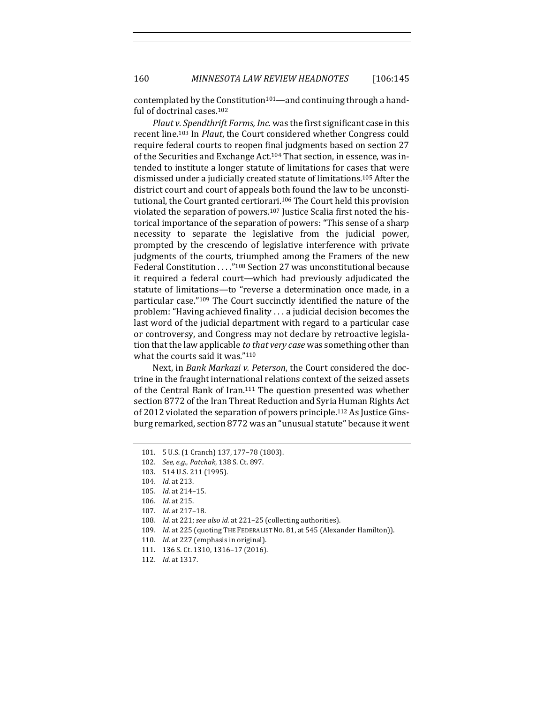160 *MINNESOTA LAW REVIEW HEADNOTES* [106:145

contemplated by the Constitution<sup>101</sup>—and continuing through a handful of doctrinal cases.<sup>102</sup>

*Plaut v. Spendthrift Farms, Inc.* was the first significant case in this recent line.<sup>103</sup> In *Plaut*, the Court considered whether Congress could require federal courts to reopen final judgments based on section 27 of the Securities and Exchange Act.<sup>104</sup> That section, in essence, was intended to institute a longer statute of limitations for cases that were dismissed under a judicially created statute of limitations.<sup>105</sup> After the district court and court of appeals both found the law to be unconstitutional, the Court granted certiorari.<sup>106</sup> The Court held this provision violated the separation of powers.<sup>107</sup> Justice Scalia first noted the historical importance of the separation of powers: "This sense of a sharp necessity to separate the legislative from the judicial power, prompted by the crescendo of legislative interference with private judgments of the courts, triumphed among the Framers of the new Federal Constitution . . . . "<sup>108</sup> Section 27 was unconstitutional because it required a federal court—which had previously adjudicated the statute of limitations—to "reverse a determination once made, in a particular case."<sup>109</sup> The Court succinctly identified the nature of the problem: "Having achieved finality . . . a judicial decision becomes the last word of the judicial department with regard to a particular case or controversy, and Congress may not declare by retroactive legislation that the law applicable *to that very case* was something other than what the courts said it was." $110$ 

Next, in *Bank Markazi v. Peterson*, the Court considered the doctrine in the fraught international relations context of the seized assets of the Central Bank of Iran.<sup>111</sup> The question presented was whether section 8772 of the Iran Threat Reduction and Syria Human Rights Act of 2012 violated the separation of powers principle.<sup>112</sup> As Justice Ginsburg remarked, section 8772 was an "unusual statute" because it went

- 111. 136 S. Ct. 1310, 1316-17 (2016).
- 112. *Id.* at 1317.

<sup>101. 5</sup> U.S. (1 Cranch) 137, 177-78 (1803).

<sup>102</sup>*. See, e.g.*, *Patchak*, 138 S. Ct. 897.

<sup>103. 514</sup> U.S. 211 (1995).

<sup>104.</sup> *Id.* at 213.

<sup>105.</sup> *Id.* at 214-15.

<sup>106.</sup> *Id.* at 215.

<sup>107.</sup> *Id.* at 217-18.

<sup>108.</sup> *Id.* at 221; see also id. at 221-25 (collecting authorities).

<sup>109.</sup> *Id.* at 225 (quoting THE FEDERALIST NO. 81, at 545 (Alexander Hamilton)).

<sup>110.</sup> *Id.* at 227 (emphasis in original).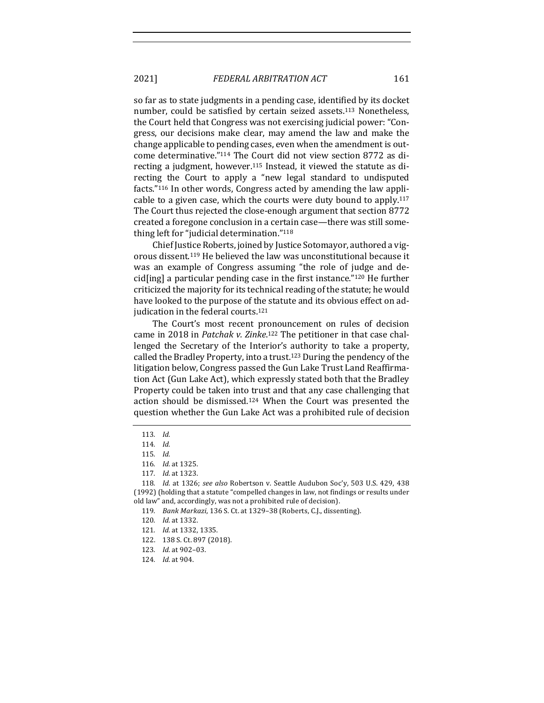2021] *FEDERAL ARBITRATION ACT* 161

so far as to state judgments in a pending case, identified by its docket number, could be satisfied by certain seized assets.<sup>113</sup> Nonetheless, the Court held that Congress was not exercising judicial power: "Congress, our decisions make clear, may amend the law and make the change applicable to pending cases, even when the amendment is outcome determinative."<sup>114</sup> The Court did not view section 8772 as directing a judgment, however.<sup>115</sup> Instead, it viewed the statute as directing the Court to apply a "new legal standard to undisputed facts." $116$  In other words, Congress acted by amending the law applicable to a given case, which the courts were duty bound to apply. $117$ The Court thus rejected the close-enough argument that section 8772 created a foregone conclusion in a certain case—there was still something left for "judicial determination."<sup>118</sup>

Chief Justice Roberts, joined by Justice Sotomayor, authored a vigorous dissent.<sup>119</sup> He believed the law was unconstitutional because it was an example of Congress assuming "the role of judge and decid[ing] a particular pending case in the first instance." $120$  He further criticized the majority for its technical reading of the statute; he would have looked to the purpose of the statute and its obvious effect on adjudication in the federal courts.<sup>121</sup>

The Court's most recent pronouncement on rules of decision came in 2018 in *Patchak v. Zinke*.<sup>122</sup> The petitioner in that case challenged the Secretary of the Interior's authority to take a property, called the Bradley Property, into a trust.<sup>123</sup> During the pendency of the litigation below, Congress passed the Gun Lake Trust Land Reaffirmation Act (Gun Lake Act), which expressly stated both that the Bradley Property could be taken into trust and that any case challenging that action should be dismissed.<sup>124</sup> When the Court was presented the question whether the Gun Lake Act was a prohibited rule of decision

- 121. *Id.* at 1332, 1335.
- 122. 138 S. Ct. 897 (2018).
- 123*. Id.* at 902–03.
- 124*. Id.* at 904.

<sup>113</sup>*. Id.*

<sup>114</sup>*. Id.* 

<sup>115</sup>*. Id.* 

<sup>116.</sup> *Id.* at 1325.

<sup>117</sup>*. Id.* at 1323.

<sup>118.</sup> *Id.* at 1326; see also Robertson v. Seattle Audubon Soc'y, 503 U.S. 429, 438 (1992) (holding that a statute "compelled changes in law, not findings or results under old law" and, accordingly, was not a prohibited rule of decision).

<sup>119.</sup> *Bank Markazi*, 136 S. Ct. at 1329-38 (Roberts, C.J., dissenting).

<sup>120.</sup> *Id.* at 1332.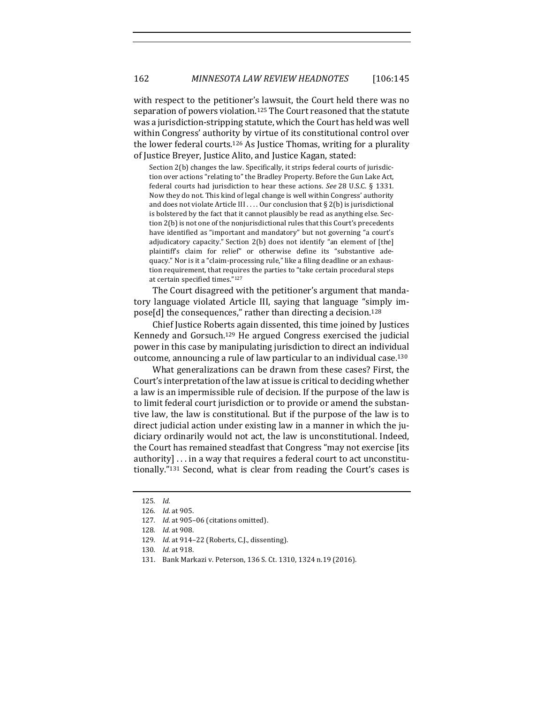with respect to the petitioner's lawsuit, the Court held there was no separation of powers violation.<sup>125</sup> The Court reasoned that the statute was a jurisdiction-stripping statute, which the Court has held was well within Congress' authority by virtue of its constitutional control over the lower federal courts.<sup>126</sup> As Justice Thomas, writing for a plurality of Justice Breyer, Justice Alito, and Justice Kagan, stated:

Section 2(b) changes the law. Specifically, it strips federal courts of jurisdiction over actions "relating to" the Bradley Property. Before the Gun Lake Act, federal courts had jurisdiction to hear these actions. See 28 U.S.C. § 1331. Now they do not. This kind of legal change is well within Congress' authority and does not violate Article III . . . . Our conclusion that  $\S 2(b)$  is jurisdictional is bolstered by the fact that it cannot plausibly be read as anything else. Section 2(b) is not one of the nonjurisdictional rules that this Court's precedents have identified as "important and mandatory" but not governing "a court's adjudicatory capacity." Section  $2(b)$  does not identify "an element of [the] plaintiff's claim for relief" or otherwise define its "substantive adequacy." Nor is it a "claim-processing rule," like a filing deadline or an exhaustion requirement, that requires the parties to "take certain procedural steps at certain specified times."127

The Court disagreed with the petitioner's argument that mandatory language violated Article III, saying that language "simply impose[d] the consequences," rather than directing a decision.<sup>128</sup>

Chief Justice Roberts again dissented, this time joined by Justices Kennedy and Gorsuch.<sup>129</sup> He argued Congress exercised the judicial power in this case by manipulating jurisdiction to direct an individual outcome, announcing a rule of law particular to an individual case.<sup>130</sup>

What generalizations can be drawn from these cases? First, the Court's interpretation of the law at issue is critical to deciding whether a law is an impermissible rule of decision. If the purpose of the law is to limit federal court jurisdiction or to provide or amend the substantive law, the law is constitutional. But if the purpose of the law is to direct judicial action under existing law in a manner in which the judiciary ordinarily would not act, the law is unconstitutional. Indeed, the Court has remained steadfast that Congress "may not exercise [its] authority]  $\ldots$  in a way that requires a federal court to act unconstitutionally."<sup>131</sup> Second, what is clear from reading the Court's cases is

<sup>125</sup>*. Id.* 

<sup>126</sup>*. Id.* at 905.

<sup>127.</sup> *Id.* at 905-06 (citations omitted).

<sup>128</sup>*. Id.* at 908.

<sup>129.</sup> *Id.* at 914-22 (Roberts, C.J., dissenting).

<sup>130</sup>*. Id.* at 918.

<sup>131.</sup> Bank Markazi v. Peterson, 136 S. Ct. 1310, 1324 n.19 (2016).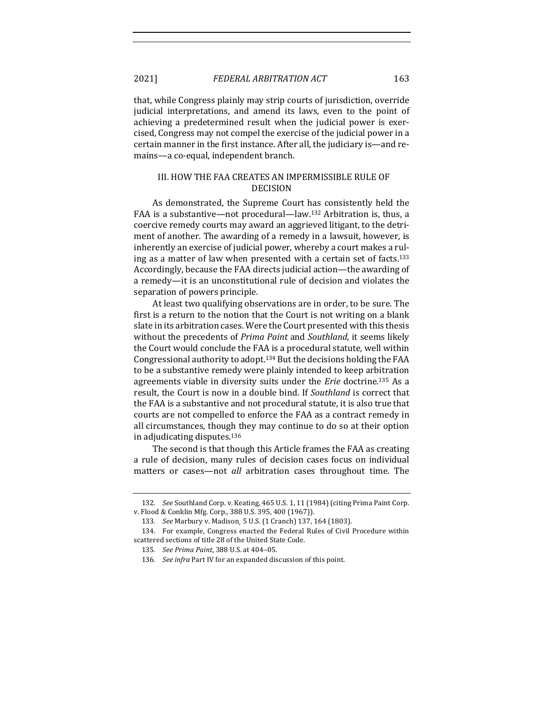that, while Congress plainly may strip courts of jurisdiction, override judicial interpretations, and amend its laws, even to the point of achieving a predetermined result when the judicial power is exercised, Congress may not compel the exercise of the judicial power in a certain manner in the first instance. After all, the judiciary is—and remains—a co-equal, independent branch.

## III. HOW THE FAA CREATES AN IMPERMISSIBLE RULE OF DECISION

As demonstrated, the Supreme Court has consistently held the FAA is a substantive—not procedural—law.<sup>132</sup> Arbitration is, thus, a coercive remedy courts may award an aggrieved litigant, to the detriment of another. The awarding of a remedy in a lawsuit, however, is inherently an exercise of judicial power, whereby a court makes a ruling as a matter of law when presented with a certain set of facts.<sup>133</sup> Accordingly, because the FAA directs judicial action—the awarding of a remedy—it is an unconstitutional rule of decision and violates the separation of powers principle.

At least two qualifying observations are in order, to be sure. The first is a return to the notion that the Court is not writing on a blank slate in its arbitration cases. Were the Court presented with this thesis without the precedents of *Prima Paint* and *Southland*, it seems likely the Court would conclude the FAA is a procedural statute, well within Congressional authority to adopt.<sup>134</sup> But the decisions holding the FAA to be a substantive remedy were plainly intended to keep arbitration agreements viable in diversity suits under the *Erie* doctrine.<sup>135</sup> As a result, the Court is now in a double bind. If *Southland* is correct that the FAA is a substantive and not procedural statute, it is also true that courts are not compelled to enforce the FAA as a contract remedy in all circumstances, though they may continue to do so at their option in adjudicating disputes. $136$ 

The second is that though this Article frames the FAA as creating a rule of decision, many rules of decision cases focus on individual matters or cases—not *all* arbitration cases throughout time. The

<sup>132.</sup> *See* Southland Corp. v. Keating, 465 U.S. 1, 11 (1984) (citing Prima Paint Corp. v. Flood & Conklin Mfg. Corp., 388 U.S. 395, 400 (1967)).

<sup>133.</sup> *See* Marbury v. Madison, 5 U.S. (1 Cranch) 137, 164 (1803).

<sup>134.</sup> For example, Congress enacted the Federal Rules of Civil Procedure within scattered sections of title 28 of the United State Code.

<sup>135</sup>*. See Prima Paint*, 388 U.S. at 404–05.

<sup>136.</sup> See infra Part IV for an expanded discussion of this point.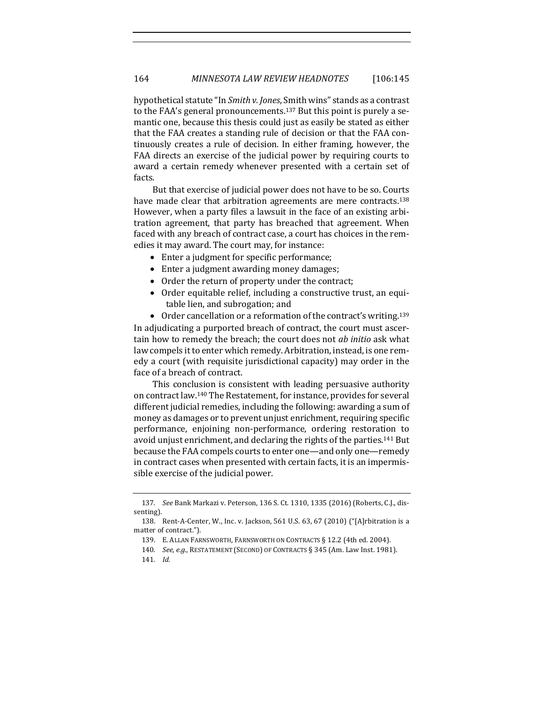hypothetical statute "In *Smith v. Jones*, Smith wins" stands as a contrast to the FAA's general pronouncements.<sup>137</sup> But this point is purely a semantic one, because this thesis could just as easily be stated as either that the FAA creates a standing rule of decision or that the FAA continuously creates a rule of decision. In either framing, however, the FAA directs an exercise of the judicial power by requiring courts to award a certain remedy whenever presented with a certain set of facts. 

But that exercise of judicial power does not have to be so. Courts have made clear that arbitration agreements are mere contracts.<sup>138</sup> However, when a party files a lawsuit in the face of an existing arbitration agreement, that party has breached that agreement. When faced with any breach of contract case, a court has choices in the remedies it may award. The court may, for instance:

- Enter a judgment for specific performance;
- Enter a judgment awarding money damages;
- Order the return of property under the contract;
- Order equitable relief, including a constructive trust, an equitable lien, and subrogation; and
- Order cancellation or a reformation of the contract's writing.<sup>139</sup>

In adjudicating a purported breach of contract, the court must ascertain how to remedy the breach; the court does not *ab initio* ask what law compels it to enter which remedy. Arbitration, instead, is one remedy a court (with requisite jurisdictional capacity) may order in the face of a breach of contract.

This conclusion is consistent with leading persuasive authority on contract law.<sup>140</sup> The Restatement, for instance, provides for several different judicial remedies, including the following: awarding a sum of money as damages or to prevent unjust enrichment, requiring specific performance, enjoining non-performance, ordering restoration to avoid unjust enrichment, and declaring the rights of the parties.<sup>141</sup> But because the FAA compels courts to enter one—and only one—remedy in contract cases when presented with certain facts, it is an impermissible exercise of the judicial power.

<sup>137.</sup> *See Bank Markazi v. Peterson, 136 S. Ct. 1310, 1335 (2016)* (Roberts, C.J., dissenting).

<sup>138.</sup> Rent-A-Center, W., Inc. v. Jackson, 561 U.S. 63, 67 (2010) ("[A]rbitration is a matter of contract.").

<sup>139.</sup> E. ALLAN FARNSWORTH, FARNSWORTH ON CONTRACTS § 12.2 (4th ed. 2004).

<sup>140.</sup> *See, e.g.*, RESTATEMENT (SECOND) OF CONTRACTS § 345 (Am. Law Inst. 1981). 141*. Id.*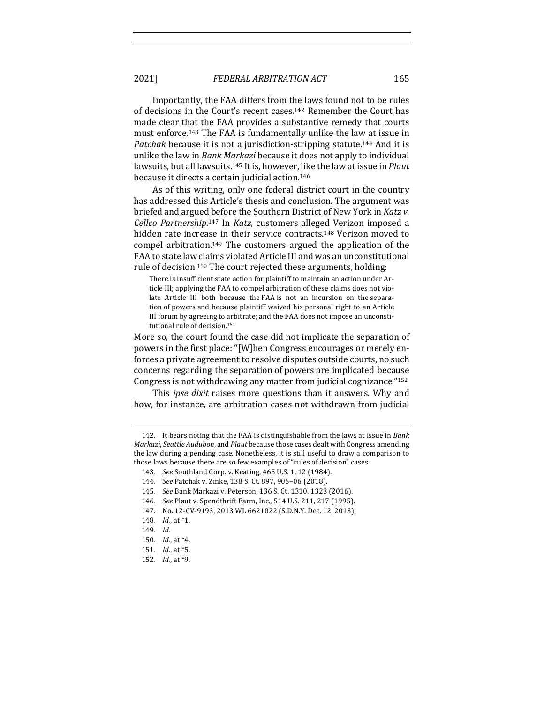2021] *FEDERAL ARBITRATION ACT* 165

Importantly, the FAA differs from the laws found not to be rules of decisions in the Court's recent cases.<sup>142</sup> Remember the Court has made clear that the FAA provides a substantive remedy that courts must enforce.<sup>143</sup> The FAA is fundamentally unlike the law at issue in *Patchak* because it is not a jurisdiction-stripping statute.<sup>144</sup> And it is unlike the law in *Bank Markazi* because it does not apply to individual lawsuits, but all lawsuits.<sup>145</sup> It is, however, like the law at issue in *Plaut* because it directs a certain judicial action.<sup>146</sup>

As of this writing, only one federal district court in the country has addressed this Article's thesis and conclusion. The argument was briefed and argued before the Southern District of New York in *Katz v.* Cellco Partnership.<sup>147</sup> In Katz, customers alleged Verizon imposed a hidden rate increase in their service contracts.<sup>148</sup> Verizon moved to compel arbitration.<sup>149</sup> The customers argued the application of the FAA to state law claims violated Article III and was an unconstitutional rule of decision.<sup>150</sup> The court rejected these arguments, holding:

There is insufficient state action for plaintiff to maintain an action under Article III; applying the FAA to compel arbitration of these claims does not violate Article III both because the FAA is not an incursion on the separation of powers and because plaintiff waived his personal right to an Article III forum by agreeing to arbitrate; and the FAA does not impose an unconstitutional rule of decision.<sup>151</sup>

More so, the court found the case did not implicate the separation of powers in the first place: "[W]hen Congress encourages or merely enforces a private agreement to resolve disputes outside courts, no such concerns regarding the separation of powers are implicated because Congress is not withdrawing any matter from judicial cognizance."<sup>152</sup>

This *ipse dixit* raises more questions than it answers. Why and how, for instance, are arbitration cases not withdrawn from judicial

<sup>142.</sup> It bears noting that the FAA is distinguishable from the laws at issue in *Bank Markazi, Seattle Audubon,* and *Plaut* because those cases dealt with Congress amending the law during a pending case. Nonetheless, it is still useful to draw a comparison to those laws because there are so few examples of "rules of decision" cases.

<sup>143.</sup> *See* Southland Corp. v. Keating, 465 U.S. 1, 12 (1984).

<sup>144</sup>*. See* Patchak v. Zinke, 138 S. Ct. 897, 905–06 (2018).

<sup>145.</sup> *See Bank Markazi v. Peterson,* 136 S. Ct. 1310, 1323 (2016).

<sup>146.</sup> *See* Plaut v. Spendthrift Farm, Inc., 514 U.S. 211, 217 (1995).

<sup>147.</sup> No. 12-CV-9193, 2013 WL 6621022 (S.D.N.Y. Dec. 12, 2013).

<sup>148.</sup> *Id.*, at \*1.

<sup>149</sup>*. Id.* 

<sup>150</sup>*. Id.*, at \*4.

<sup>151</sup>*. Id.*, at \*5.

<sup>152</sup>*. Id.*, at \*9.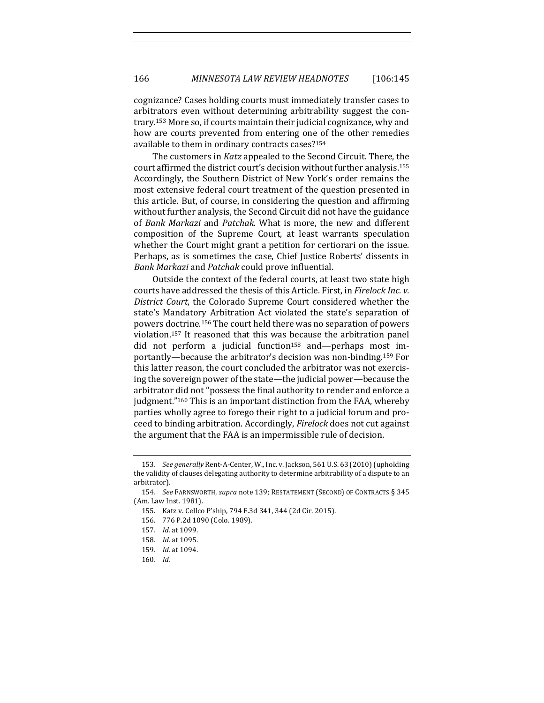cognizance? Cases holding courts must immediately transfer cases to arbitrators even without determining arbitrability suggest the contrary.<sup>153</sup> More so, if courts maintain their judicial cognizance, why and how are courts prevented from entering one of the other remedies available to them in ordinary contracts cases?<sup>154</sup>

The customers in *Katz* appealed to the Second Circuit. There, the court affirmed the district court's decision without further analysis.<sup>155</sup> Accordingly, the Southern District of New York's order remains the most extensive federal court treatment of the question presented in this article. But, of course, in considering the question and affirming without further analysis, the Second Circuit did not have the guidance of *Bank Markazi* and *Patchak*. What is more, the new and different composition of the Supreme Court, at least warrants speculation whether the Court might grant a petition for certiorari on the issue. Perhaps, as is sometimes the case, Chief Justice Roberts' dissents in *Bank Markazi* and *Patchak* could prove influential.

Outside the context of the federal courts, at least two state high courts have addressed the thesis of this Article. First, in *Firelock Inc. v. District Court*, the Colorado Supreme Court considered whether the state's Mandatory Arbitration Act violated the state's separation of powers doctrine.<sup>156</sup> The court held there was no separation of powers violation.<sup>157</sup> It reasoned that this was because the arbitration panel did not perform a judicial function<sup>158</sup> and—perhaps most importantly—because the arbitrator's decision was non-binding.<sup>159</sup> For this latter reason, the court concluded the arbitrator was not exercising the sovereign power of the state—the judicial power—because the arbitrator did not "possess the final authority to render and enforce a judgment."<sup>160</sup> This is an important distinction from the FAA, whereby parties wholly agree to forego their right to a judicial forum and proceed to binding arbitration. Accordingly, *Firelock* does not cut against the argument that the FAA is an impermissible rule of decision.

<sup>153.</sup> *See generally* Rent-A-Center, W., Inc. v. Jackson, 561 U.S. 63 (2010) (upholding the validity of clauses delegating authority to determine arbitrability of a dispute to an arbitrator).

<sup>154.</sup> *See* FARNSWORTH, *supra* note 139; RESTATEMENT (SECOND) OF CONTRACTS § 345 (Am. Law Inst. 1981).

<sup>155.</sup> Katz v. Cellco P'ship, 794 F.3d 341, 344 (2d Cir. 2015).

<sup>156. 776</sup> P.2d 1090 (Colo. 1989).

<sup>157</sup>*. Id.* at 1099.

<sup>158.</sup> *Id.* at 1095.

<sup>159</sup>*. Id.* at 1094.

<sup>160</sup>*. Id.*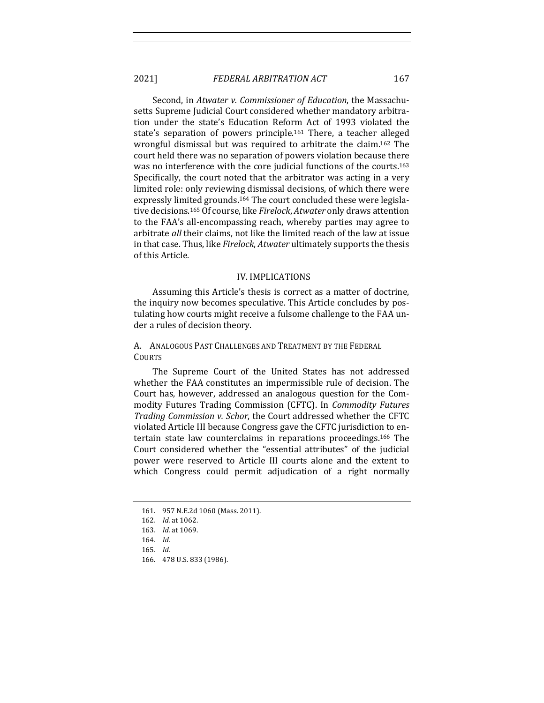## 2021] *FEDERAL ARBITRATION ACT* 167

Second, in *Atwater v. Commissioner of Education*, the Massachusetts Supreme Judicial Court considered whether mandatory arbitration under the state's Education Reform Act of 1993 violated the state's separation of powers principle.<sup>161</sup> There, a teacher alleged wrongful dismissal but was required to arbitrate the claim.<sup>162</sup> The court held there was no separation of powers violation because there was no interference with the core judicial functions of the courts.<sup>163</sup> Specifically, the court noted that the arbitrator was acting in a very limited role: only reviewing dismissal decisions, of which there were expressly limited grounds.<sup>164</sup> The court concluded these were legislative decisions.<sup>165</sup> Of course, like *Firelock, Atwater* only draws attention to the FAA's all-encompassing reach, whereby parties may agree to arbitrate all their claims, not like the limited reach of the law at issue in that case. Thus, like *Firelock*, *Atwater* ultimately supports the thesis of this Article.

#### IV. IMPLICATIONS

Assuming this Article's thesis is correct as a matter of doctrine, the inquiry now becomes speculative. This Article concludes by postulating how courts might receive a fulsome challenge to the FAA under a rules of decision theory.

A. ANALOGOUS PAST CHALLENGES AND TREATMENT BY THE FEDERAL **COURTS** 

The Supreme Court of the United States has not addressed whether the FAA constitutes an impermissible rule of decision. The Court has, however, addressed an analogous question for the Commodity Futures Trading Commission (CFTC). In *Commodity Futures Trading Commission v. Schor*, the Court addressed whether the CFTC violated Article III because Congress gave the CFTC jurisdiction to entertain state law counterclaims in reparations proceedings.<sup>166</sup> The Court considered whether the "essential attributes" of the judicial power were reserved to Article III courts alone and the extent to which Congress could permit adjudication of a right normally

- 164. *Id.*
- 165*. Id.*
- 166. 478 U.S. 833 (1986).

<sup>161.</sup> 957 N.E.2d 1060 (Mass. 2011).

<sup>162.</sup> *Id.* at 1062.

<sup>163</sup>*. Id.* at 1069.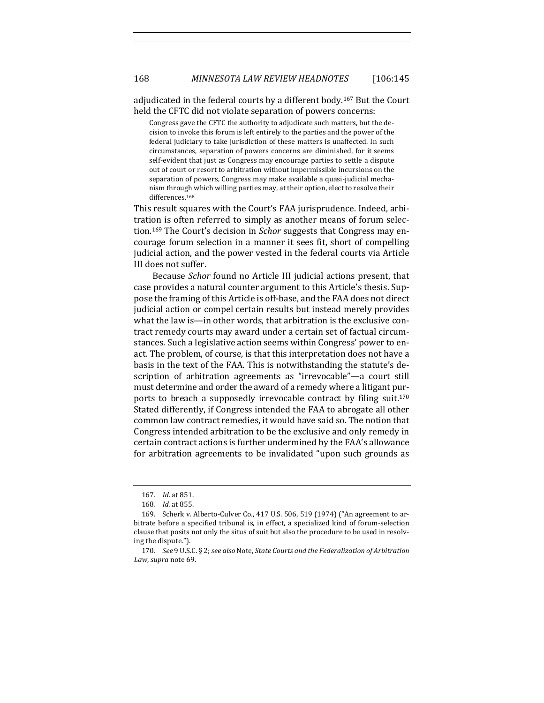adjudicated in the federal courts by a different body.<sup>167</sup> But the Court held the CFTC did not violate separation of powers concerns:

Congress gave the CFTC the authority to adjudicate such matters, but the decision to invoke this forum is left entirely to the parties and the power of the federal judiciary to take jurisdiction of these matters is unaffected. In such circumstances, separation of powers concerns are diminished, for it seems self-evident that just as Congress may encourage parties to settle a dispute out of court or resort to arbitration without impermissible incursions on the separation of powers, Congress may make available a quasi-judicial mechanism through which willing parties may, at their option, elect to resolve their differences.168

This result squares with the Court's FAA jurisprudence. Indeed, arbitration is often referred to simply as another means of forum selection.<sup>169</sup> The Court's decision in *Schor* suggests that Congress may encourage forum selection in a manner it sees fit, short of compelling judicial action, and the power vested in the federal courts via Article III does not suffer.

Because *Schor* found no Article III judicial actions present, that case provides a natural counter argument to this Article's thesis. Suppose the framing of this Article is off-base, and the FAA does not direct judicial action or compel certain results but instead merely provides what the law is—in other words, that arbitration is the exclusive contract remedy courts may award under a certain set of factual circumstances. Such a legislative action seems within Congress' power to enact. The problem, of course, is that this interpretation does not have a basis in the text of the FAA. This is notwithstanding the statute's description of arbitration agreements as "irrevocable"—a court still must determine and order the award of a remedy where a litigant purports to breach a supposedly irrevocable contract by filing suit.<sup>170</sup> Stated differently, if Congress intended the FAA to abrogate all other common law contract remedies, it would have said so. The notion that Congress intended arbitration to be the exclusive and only remedy in certain contract actions is further undermined by the FAA's allowance for arbitration agreements to be invalidated "upon such grounds as

<sup>167</sup>*. Id.* at 851.

<sup>168</sup>*. Id.* at 855.

<sup>169.</sup> Scherk v. Alberto-Culver Co., 417 U.S. 506, 519 (1974) ("An agreement to arbitrate before a specified tribunal is, in effect, a specialized kind of forum-selection clause that posits not only the situs of suit but also the procedure to be used in resolving the dispute.").

<sup>170</sup>*. See* 9 U.S.C. § 2; *see also* Note, *State Courts and the Federalization of Arbitration* Law, *supra* note 69.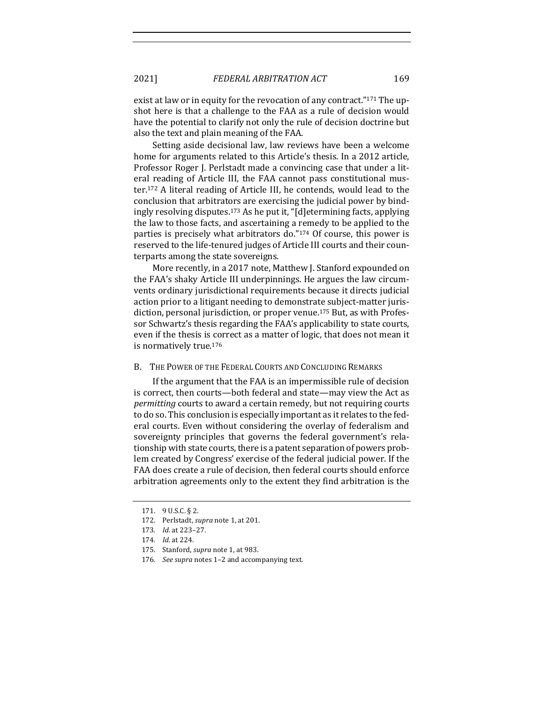exist at law or in equity for the revocation of any contract." $171$  The upshot here is that a challenge to the FAA as a rule of decision would have the potential to clarify not only the rule of decision doctrine but also the text and plain meaning of the FAA.

Setting aside decisional law, law reviews have been a welcome home for arguments related to this Article's thesis. In a 2012 article, Professor Roger J. Perlstadt made a convincing case that under a literal reading of Article III, the FAA cannot pass constitutional muster.<sup>172</sup> A literal reading of Article III, he contends, would lead to the conclusion that arbitrators are exercising the judicial power by bindingly resolving disputes.<sup>173</sup> As he put it, "[d]etermining facts, applying the law to those facts, and ascertaining a remedy to be applied to the parties is precisely what arbitrators do."174 Of course, this power is reserved to the life-tenured judges of Article III courts and their counterparts among the state sovereigns.

More recently, in a 2017 note, Matthew J. Stanford expounded on the FAA's shaky Article III underpinnings. He argues the law circumvents ordinary jurisdictional requirements because it directs judicial action prior to a litigant needing to demonstrate subject-matter jurisdiction, personal jurisdiction, or proper venue.<sup>175</sup> But, as with Professor Schwartz's thesis regarding the FAA's applicability to state courts, even if the thesis is correct as a matter of logic, that does not mean it is normatively true.<sup>176</sup>

#### B. THE POWER OF THE FEDERAL COURTS AND CONCLUDING REMARKS

If the argument that the FAA is an impermissible rule of decision is correct, then courts—both federal and state—may view the Act as *permitting* courts to award a certain remedy, but not requiring courts to do so. This conclusion is especially important as it relates to the federal courts. Even without considering the overlay of federalism and sovereignty principles that governs the federal government's relationship with state courts, there is a patent separation of powers problem created by Congress' exercise of the federal judicial power. If the FAA does create a rule of decision, then federal courts should enforce arbitration agreements only to the extent they find arbitration is the

<sup>171. 9</sup> U.S.C. § 2.

<sup>172.</sup> Perlstadt, *supra* note 1, at 201.

<sup>173</sup>*. Id.* at 223–27.

<sup>174.</sup> *Id.* at 224.

<sup>175.</sup> Stanford, *supra* note 1, at 983.

<sup>176.</sup> See supra notes 1-2 and accompanying text.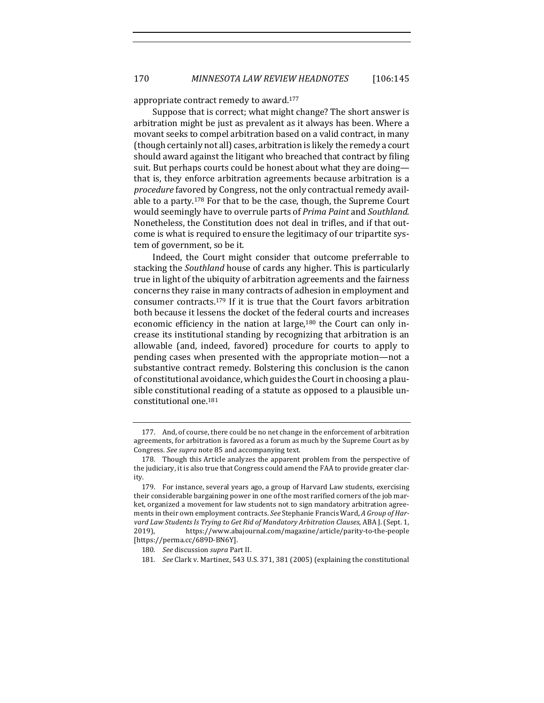appropriate contract remedy to award.<sup>177</sup>

Suppose that is correct; what might change? The short answer is arbitration might be just as prevalent as it always has been. Where a movant seeks to compel arbitration based on a valid contract, in many (though certainly not all) cases, arbitration is likely the remedy a court should award against the litigant who breached that contract by filing suit. But perhaps courts could be honest about what they are doing that is, they enforce arbitration agreements because arbitration is a *procedure* favored by Congress, not the only contractual remedy available to a party.<sup>178</sup> For that to be the case, though, the Supreme Court would seemingly have to overrule parts of *Prima Paint* and *Southland*. Nonetheless, the Constitution does not deal in trifles, and if that outcome is what is required to ensure the legitimacy of our tripartite system of government, so be it.

Indeed, the Court might consider that outcome preferrable to stacking the *Southland* house of cards any higher. This is particularly true in light of the ubiquity of arbitration agreements and the fairness concerns they raise in many contracts of adhesion in employment and consumer contracts.<sup>179</sup> If it is true that the Court favors arbitration both because it lessens the docket of the federal courts and increases economic efficiency in the nation at large, $180$  the Court can only increase its institutional standing by recognizing that arbitration is an allowable (and, indeed, favored) procedure for courts to apply to pending cases when presented with the appropriate motion—not a substantive contract remedy. Bolstering this conclusion is the canon of constitutional avoidance, which guides the Court in choosing a plausible constitutional reading of a statute as opposed to a plausible unconstitutional one.181

<sup>177.</sup> And, of course, there could be no net change in the enforcement of arbitration agreements, for arbitration is favored as a forum as much by the Supreme Court as by Congress. See supra note 85 and accompanying text.

<sup>178.</sup> Though this Article analyzes the apparent problem from the perspective of the judiciary, it is also true that Congress could amend the FAA to provide greater clarity.

<sup>179.</sup> For instance, several years ago, a group of Harvard Law students, exercising their considerable bargaining power in one of the most rarified corners of the job market, organized a movement for law students not to sign mandatory arbitration agreements in their own employment contracts. See Stephanie Francis Ward, A Group of Harvard Law Students Is Trying to Get Rid of Mandatory Arbitration Clauses, ABA J. (Sept. 1, 2019), https://www.abajournal.com/magazine/article/parity-to-the-people [https://perma.cc/689D-BN6Y].

<sup>180.</sup> See discussion *supra* Part II.

<sup>181.</sup> *See* Clark v. Martinez, 543 U.S. 371, 381 (2005) (explaining the constitutional